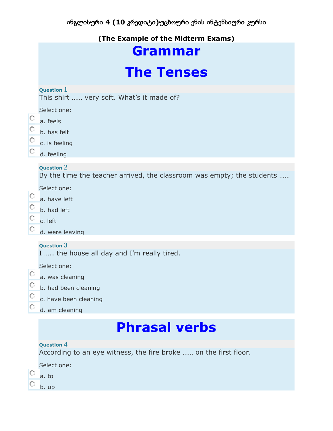## **(The Example of the Midterm Exams)**

## **Grammar**

## **The Tenses**

### **Question 1**

This shirt …… very soft. What's it made of?

Select one:

- О. a. feels
- b. has felt
- $\circ$  c. is feeling
- О. d. feeling

### **Question 2**

By the time the teacher arrived, the classroom was empty; the students ……

Select one:

- $\circ$ a. have left
- $\mathbb C^$ b. had left
- $\circ$  c. left
- d. were leaving

### **Question 3**

I ….. the house all day and I'm really tired.

Select one:

- a. was cleaning
- b. had been cleaning
- О. c. have been cleaning
- 0. d. am cleaning

## **Phrasal verbs**

### **Question 4**

According to an eye witness, the fire broke …… on the first floor.

Select one:

- о a. to
- о b. up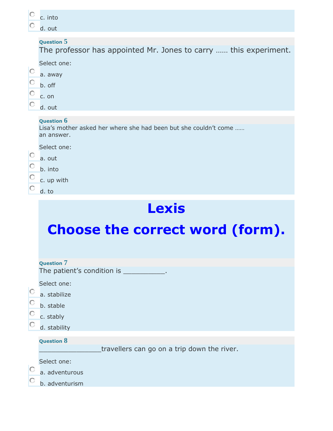|                         | c. into                                                                                                         |
|-------------------------|-----------------------------------------------------------------------------------------------------------------|
| О                       | d. out                                                                                                          |
|                         | <b>Question 5</b><br>The professor has appointed Mr. Jones to carry  this experiment.<br>Select one:<br>a. away |
| O<br>$\circ$<br>$\circ$ | b. off<br>c. on<br>d. out                                                                                       |
|                         | <b>Question 6</b><br>Lisa's mother asked her where she had been but she couldn't come<br>an answer.             |
| $\circ$<br>$\circ$      | Select one:<br>a. out<br>b. into                                                                                |
| $\mathbf C$<br>О        | c. up with<br>d. to                                                                                             |
|                         | S<br>e                                                                                                          |

# **Choose the correct word (form).**

|         | <b>Question 7</b>                           |
|---------|---------------------------------------------|
|         | The patient's condition is ___________.     |
|         | Select one:                                 |
| $\circ$ | a. stabilize                                |
| $\circ$ | b. stable                                   |
| $\circ$ | c. stably                                   |
|         | d. stability                                |
|         | <b>Question 8</b>                           |
|         | travellers can go on a trip down the river. |
|         | Select one:                                 |
|         | a. adventurous                              |
|         | b. adventurism                              |
|         |                                             |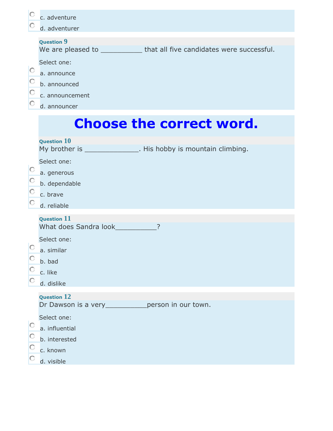|         | c. adventure                                                               |
|---------|----------------------------------------------------------------------------|
| O       | d. adventurer                                                              |
|         | <b>Question 9</b>                                                          |
|         | We are pleased to ______________ that all five candidates were successful. |
|         | Select one:                                                                |
| O       | a. announce                                                                |
| O       | b. announced                                                               |
| O       | c. announcement                                                            |
|         | d. announcer                                                               |
|         |                                                                            |
|         | <b>Choose the correct word.</b>                                            |
|         | Question $10$                                                              |
|         | My brother is _______________. His hobby is mountain climbing.             |
|         | Select one:                                                                |
|         | a. generous                                                                |
|         | b. dependable                                                              |
|         | c. brave                                                                   |
|         | d. reliable                                                                |
|         | <b>Question 11</b>                                                         |
|         | What does Sandra look___________?                                          |
|         | Select one:                                                                |
| $\circ$ | a. similar                                                                 |
|         | b. bad                                                                     |
| $\circ$ | c. like                                                                    |
|         | d. dislike                                                                 |
|         | <b>Question 12</b>                                                         |
|         | Dr Dawson is a very _____________ person in our town.                      |
|         | Select one:                                                                |
| O       | a. influential                                                             |
| O       | b. interested                                                              |
| $\circ$ | c. known                                                                   |
|         | d. visible                                                                 |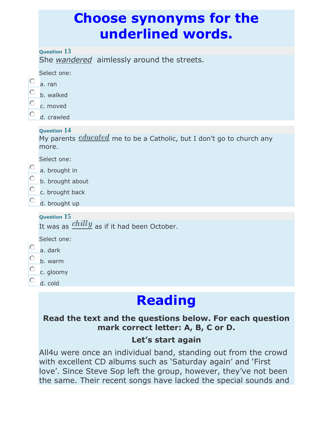## **Choose synonyms for the underlined words.**

**Question 13**

She *wandered* aimlessly around the streets.

| Select one: |
|-------------|
|             |

- O a. ran
- О. b. walked
- О. c. moved
- 0. d. crawled

## **Question 14**

My parents  $educated$  me to be a Catholic, but I don't go to church any more.

Select one:

- 0. a. brought in
- О. b. brought about
- О. c. brought back
- О. d. brought up

## **Question 15**

It was as  $\frac{chilly}{}$  as if it had been October.

Select one:

- О. a. dark
- О. b. warm
- О. c. gloomy
- 0. d. cold

# **Reading**

## **Read the text and the questions below. For each question mark correct letter: A, B, C or D.**

## **Let's start again**

All4u were once an individual band, standing out from the crowd with excellent CD albums such as 'Saturday again' and 'First love'. Since Steve Sop left the group, however, they've not been the same. Their recent songs have lacked the special sounds and